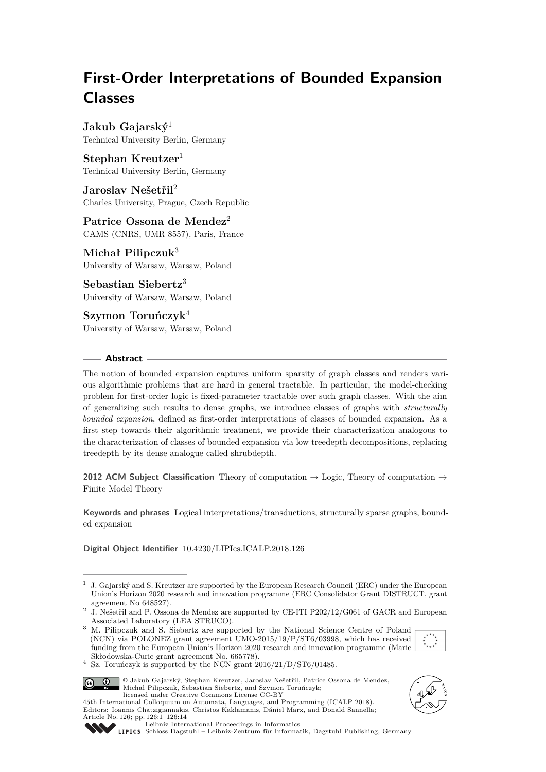# **First-Order Interpretations of Bounded Expansion Classes**

**Jakub Gajarský**<sup>1</sup> Technical University Berlin, Germany

**Stephan Kreutzer**<sup>1</sup> Technical University Berlin, Germany

**Jaroslav Nešetřil**<sup>2</sup> Charles University, Prague, Czech Republic

**Patrice Ossona de Mendez**<sup>2</sup> CAMS (CNRS, UMR 8557), Paris, France

**Michał Pilipczuk**<sup>3</sup> University of Warsaw, Warsaw, Poland

**Sebastian Siebertz**<sup>3</sup> University of Warsaw, Warsaw, Poland

**Szymon Toruńczyk**<sup>4</sup> University of Warsaw, Warsaw, Poland

## **Abstract**

The notion of bounded expansion captures uniform sparsity of graph classes and renders various algorithmic problems that are hard in general tractable. In particular, the model-checking problem for first-order logic is fixed-parameter tractable over such graph classes. With the aim of generalizing such results to dense graphs, we introduce classes of graphs with *structurally bounded expansion*, defined as first-order interpretations of classes of bounded expansion. As a first step towards their algorithmic treatment, we provide their characterization analogous to the characterization of classes of bounded expansion via low treedepth decompositions, replacing treedepth by its dense analogue called shrubdepth.

**2012 ACM Subject Classification** Theory of computation → Logic, Theory of computation → Finite Model Theory

**Keywords and phrases** Logical interpretations/transductions, structurally sparse graphs, bounded expansion

**Digital Object Identifier** [10.4230/LIPIcs.ICALP.2018.126](http://dx.doi.org/10.4230/LIPIcs.ICALP.2018.126)

<sup>&</sup>lt;sup>3</sup> M. Pilipczuk and S. Siebertz are supported by the National Science Centre of Poland (NCN) via POLONEZ grant agreement UMO-2015/19/P/ST6/03998, which has received funding from the European Union's Horizon 2020 research and innovation programme (Marie Skłodowska-Curie grant agreement No. 665778).



 $4$  Sz. Toruńczyk is supported by the NCN grant 2016/21/D/ST6/01485.



© Jakub Gajarský, Stephan Kreutzer, Jaroslav Nešetřil, Patrice Ossona de Mendez, Michał Pilipczuk, Sebastian Siebertz, and Szymon Toruńczyk; licensed under Creative Commons License CC-BY 45th International Colloquium on Automata, Languages, and Programming (ICALP 2018).

Editors: Ioannis Chatzigiannakis, Christos Kaklamanis, Dániel Marx, and Donald Sannella;





[Leibniz International Proceedings in Informatics](http://www.dagstuhl.de/lipics/) [Schloss Dagstuhl – Leibniz-Zentrum für Informatik, Dagstuhl Publishing, Germany](http://www.dagstuhl.de)

<sup>1</sup> J. Gajarský and S. Kreutzer are supported by the European Research Council (ERC) under the European Union's Horizon 2020 research and innovation programme (ERC Consolidator Grant DISTRUCT, grant agreement No 648527).

<sup>&</sup>lt;sup>2</sup> J. Nešetřil and P. Ossona de Mendez are supported by CE-ITI P202/12/G061 of GACR and European Associated Laboratory (LEA STRUCO).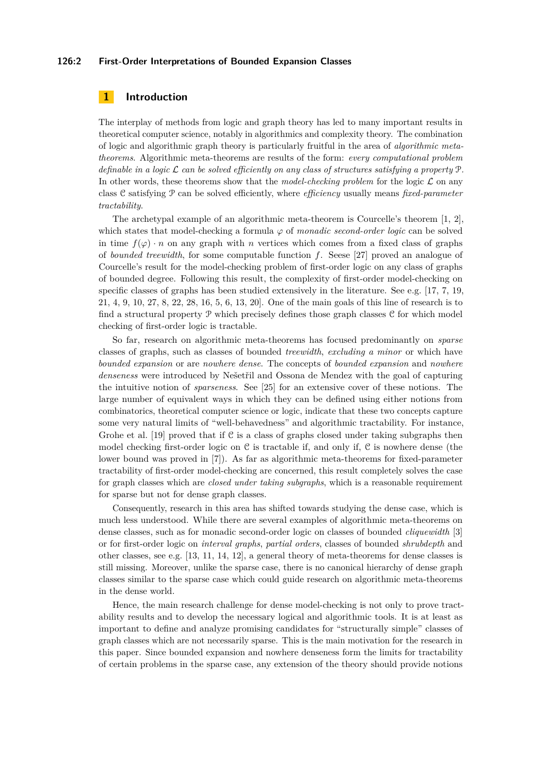#### **126:2 First-Order Interpretations of Bounded Expansion Classes**

# **1 Introduction**

The interplay of methods from logic and graph theory has led to many important results in theoretical computer science, notably in algorithmics and complexity theory. The combination of logic and algorithmic graph theory is particularly fruitful in the area of *algorithmic metatheorems*. Algorithmic meta-theorems are results of the form: *every computational problem definable in a logic* L *can be solved efficiently on any class of structures satisfying a property* P*.* In other words, these theorems show that the *model-checking problem* for the logic  $\mathcal L$  on any class C satisfying P can be solved efficiently, where *efficiency* usually means *fixed-parameter tractability*.

The archetypal example of an algorithmic meta-theorem is Courcelle's theorem [\[1,](#page-12-0) [2\]](#page-12-1), which states that model-checking a formula  $\varphi$  of *monadic second-order logic* can be solved in time  $f(\varphi) \cdot n$  on any graph with *n* vertices which comes from a fixed class of graphs of *bounded treewidth*, for some computable function *f*. Seese [\[27\]](#page-13-1) proved an analogue of Courcelle's result for the model-checking problem of first-order logic on any class of graphs of bounded degree. Following this result, the complexity of first-order model-checking on specific classes of graphs has been studied extensively in the literature. See e.g. [\[17,](#page-12-2) [7,](#page-12-3) [19,](#page-12-4) [21,](#page-13-2) [4,](#page-12-5) [9,](#page-12-6) [10,](#page-12-7) [27,](#page-13-1) [8,](#page-12-8) [22,](#page-13-3) [28,](#page-13-4) [16,](#page-12-9) [5,](#page-12-10) [6,](#page-12-11) [13,](#page-12-12) [20\]](#page-12-13). One of the main goals of this line of research is to find a structural property P which precisely defines those graph classes C for which model checking of first-order logic is tractable.

So far, research on algorithmic meta-theorems has focused predominantly on *sparse* classes of graphs, such as classes of bounded *treewidth*, *excluding a minor* or which have *bounded expansion* or are *nowhere dense*. The concepts of *bounded expansion* and *nowhere denseness* were introduced by Nešetřil and Ossona de Mendez with the goal of capturing the intuitive notion of *sparseness*. See [\[25\]](#page-13-5) for an extensive cover of these notions. The large number of equivalent ways in which they can be defined using either notions from combinatorics, theoretical computer science or logic, indicate that these two concepts capture some very natural limits of "well-behavedness" and algorithmic tractability. For instance, Grohe et al.  $[19]$  proved that if C is a class of graphs closed under taking subgraphs then model checking first-order logic on  $\mathcal C$  is tractable if, and only if,  $\mathcal C$  is nowhere dense (the lower bound was proved in [\[7\]](#page-12-3)). As far as algorithmic meta-theorems for fixed-parameter tractability of first-order model-checking are concerned, this result completely solves the case for graph classes which are *closed under taking subgraphs*, which is a reasonable requirement for sparse but not for dense graph classes.

Consequently, research in this area has shifted towards studying the dense case, which is much less understood. While there are several examples of algorithmic meta-theorems on dense classes, such as for monadic second-order logic on classes of bounded *cliquewidth* [\[3\]](#page-12-14) or for first-order logic on *interval graphs*, *partial orders*, classes of bounded *shrubdepth* and other classes, see e.g. [\[13,](#page-12-12) [11,](#page-12-15) [14,](#page-12-16) [12\]](#page-12-17), a general theory of meta-theorems for dense classes is still missing. Moreover, unlike the sparse case, there is no canonical hierarchy of dense graph classes similar to the sparse case which could guide research on algorithmic meta-theorems in the dense world.

Hence, the main research challenge for dense model-checking is not only to prove tractability results and to develop the necessary logical and algorithmic tools. It is at least as important to define and analyze promising candidates for "structurally simple" classes of graph classes which are not necessarily sparse. This is the main motivation for the research in this paper. Since bounded expansion and nowhere denseness form the limits for tractability of certain problems in the sparse case, any extension of the theory should provide notions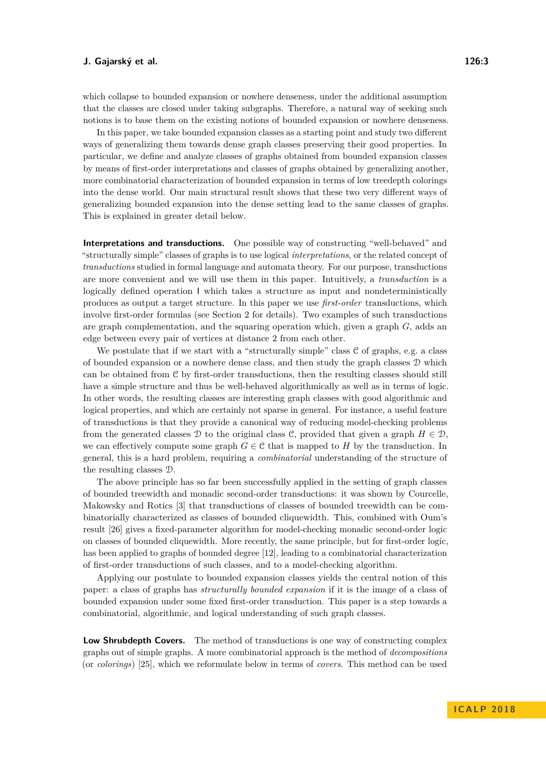which collapse to bounded expansion or nowhere denseness, under the additional assumption that the classes are closed under taking subgraphs. Therefore, a natural way of seeking such notions is to base them on the existing notions of bounded expansion or nowhere denseness.

In this paper, we take bounded expansion classes as a starting point and study two different ways of generalizing them towards dense graph classes preserving their good properties. In particular, we define and analyze classes of graphs obtained from bounded expansion classes by means of first-order interpretations and classes of graphs obtained by generalizing another, more combinatorial characterization of bounded expansion in terms of low treedepth colorings into the dense world. Our main structural result shows that these two very different ways of generalizing bounded expansion into the dense setting lead to the same classes of graphs. This is explained in greater detail below.

**Interpretations and transductions.** One possible way of constructing "well-behaved" and "structurally simple" classes of graphs is to use logical *interpretations*, or the related concept of *transductions* studied in formal language and automata theory. For our purpose, transductions are more convenient and we will use them in this paper. Intuitively, a *transduction* is a logically defined operation I which takes a structure as input and nondeterministically produces as output a target structure. In this paper we use *first-order* transductions, which involve first-order formulas (see Section [2](#page-4-0) for details). Two examples of such transductions are graph complementation, and the squaring operation which, given a graph *G*, adds an edge between every pair of vertices at distance 2 from each other.

We postulate that if we start with a "structurally simple" class  $C$  of graphs, e.g. a class of bounded expansion or a nowhere dense class, and then study the graph classes D which can be obtained from C by first-order transductions, then the resulting classes should still have a simple structure and thus be well-behaved algorithmically as well as in terms of logic. In other words, the resulting classes are interesting graph classes with good algorithmic and logical properties, and which are certainly not sparse in general. For instance, a useful feature of transductions is that they provide a canonical way of reducing model-checking problems from the generated classes D to the original class C, provided that given a graph  $H \in \mathcal{D}$ , we can effectively compute some graph  $G \in \mathcal{C}$  that is mapped to *H* by the transduction. In general, this is a hard problem, requiring a *combinatorial* understanding of the structure of the resulting classes D.

The above principle has so far been successfully applied in the setting of graph classes of bounded treewidth and monadic second-order transductions: it was shown by Courcelle, Makowsky and Rotics [\[3\]](#page-12-14) that transductions of classes of bounded treewidth can be combinatorially characterized as classes of bounded cliquewidth. This, combined with Oum's result [\[26\]](#page-13-6) gives a fixed-parameter algorithm for model-checking monadic second-order logic on classes of bounded cliquewidth. More recently, the same principle, but for first-order logic, has been applied to graphs of bounded degree [\[12\]](#page-12-17), leading to a combinatorial characterization of first-order transductions of such classes, and to a model-checking algorithm.

Applying our postulate to bounded expansion classes yields the central notion of this paper: a class of graphs has *structurally bounded expansion* if it is the image of a class of bounded expansion under some fixed first-order transduction. This paper is a step towards a combinatorial, algorithmic, and logical understanding of such graph classes.

**Low Shrubdepth Covers.** The method of transductions is one way of constructing complex graphs out of simple graphs. A more combinatorial approach is the method of *decompositions* (or *colorings*) [\[25\]](#page-13-5), which we reformulate below in terms of *covers*. This method can be used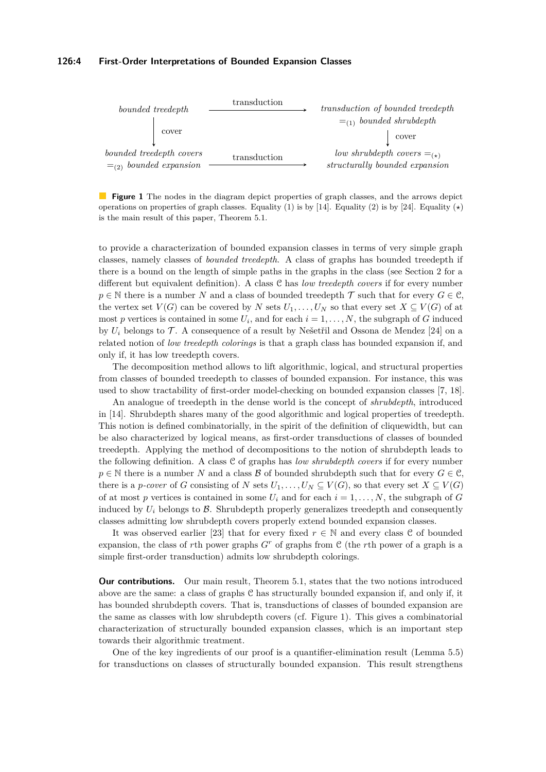#### **126:4 First-Order Interpretations of Bounded Expansion Classes**

<span id="page-3-0"></span>

**Figure 1** The nodes in the diagram depict properties of graph classes, and the arrows depict operations on properties of graph classes. Equality (1) is by [\[14\]](#page-12-16). Equality (2) is by [\[24\]](#page-13-7). Equality ( $\star$ ) is the main result of this paper, Theorem [5.1.](#page-8-0)

to provide a characterization of bounded expansion classes in terms of very simple graph classes, namely classes of *bounded treedepth*. A class of graphs has bounded treedepth if there is a bound on the length of simple paths in the graphs in the class (see Section [2](#page-4-0) for a different but equivalent definition). A class C has *low treedepth covers* if for every number  $p \in \mathbb{N}$  there is a number *N* and a class of bounded treedepth  $\mathcal{T}$  such that for every  $G \in \mathcal{C}$ , the vertex set  $V(G)$  can be covered by *N* sets  $U_1, \ldots, U_N$  so that every set  $X \subseteq V(G)$  of at most *p* vertices is contained in some  $U_i$ , and for each  $i = 1, \ldots, N$ , the subgraph of *G* induced by  $U_i$  belongs to  $\mathcal T$ . A consequence of a result by Nešetřil and Ossona de Mendez [\[24\]](#page-13-7) on a related notion of *low treedepth colorings* is that a graph class has bounded expansion if, and only if, it has low treedepth covers.

The decomposition method allows to lift algorithmic, logical, and structural properties from classes of bounded treedepth to classes of bounded expansion. For instance, this was used to show tractability of first-order model-checking on bounded expansion classes [\[7,](#page-12-3) [18\]](#page-12-18).

An analogue of treedepth in the dense world is the concept of *shrubdepth*, introduced in [\[14\]](#page-12-16). Shrubdepth shares many of the good algorithmic and logical properties of treedepth. This notion is defined combinatorially, in the spirit of the definition of cliquewidth, but can be also characterized by logical means, as first-order transductions of classes of bounded treedepth. Applying the method of decompositions to the notion of shrubdepth leads to the following definition. A class C of graphs has *low shrubdepth covers* if for every number  $p \in \mathbb{N}$  there is a number *N* and a class *B* of bounded shrubdepth such that for every  $G \in \mathcal{C}$ , there is a *p*-cover of *G* consisting of *N* sets  $U_1, \ldots, U_N \subseteq V(G)$ , so that every set  $X \subseteq V(G)$ of at most *p* vertices is contained in some  $U_i$  and for each  $i = 1, \ldots, N$ , the subgraph of *G* induced by  $U_i$  belongs to  $\mathcal{B}$ . Shrubdepth properly generalizes treedepth and consequently classes admitting low shrubdepth covers properly extend bounded expansion classes.

It was observed earlier [\[23\]](#page-13-8) that for every fixed  $r \in \mathbb{N}$  and every class C of bounded expansion, the class of rth power graphs  $G<sup>r</sup>$  of graphs from C (the *r*th power of a graph is a simple first-order transduction) admits low shrubdepth colorings.

**Our contributions.** Our main result, Theorem [5.1,](#page-8-0) states that the two notions introduced above are the same: a class of graphs C has structurally bounded expansion if, and only if, it has bounded shrubdepth covers. That is, transductions of classes of bounded expansion are the same as classes with low shrubdepth covers (cf. Figure [1\)](#page-3-0). This gives a combinatorial characterization of structurally bounded expansion classes, which is an important step towards their algorithmic treatment.

One of the key ingredients of our proof is a quantifier-elimination result (Lemma [5.5\)](#page-9-0) for transductions on classes of structurally bounded expansion. This result strengthens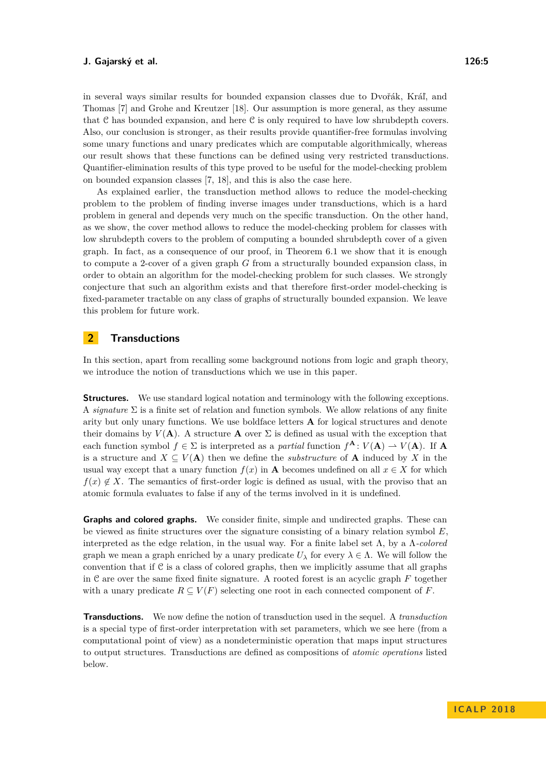in several ways similar results for bounded expansion classes due to Dvořák, Kráľ, and Thomas [\[7\]](#page-12-3) and Grohe and Kreutzer [\[18\]](#page-12-18). Our assumption is more general, as they assume that C has bounded expansion, and here C is only required to have low shrubdepth covers. Also, our conclusion is stronger, as their results provide quantifier-free formulas involving some unary functions and unary predicates which are computable algorithmically, whereas our result shows that these functions can be defined using very restricted transductions. Quantifier-elimination results of this type proved to be useful for the model-checking problem on bounded expansion classes [\[7,](#page-12-3) [18\]](#page-12-18), and this is also the case here.

As explained earlier, the transduction method allows to reduce the model-checking problem to the problem of finding inverse images under transductions, which is a hard problem in general and depends very much on the specific transduction. On the other hand, as we show, the cover method allows to reduce the model-checking problem for classes with low shrubdepth covers to the problem of computing a bounded shrubdepth cover of a given graph. In fact, as a consequence of our proof, in Theorem [6.1](#page-10-0) we show that it is enough to compute a 2-cover of a given graph *G* from a structurally bounded expansion class, in order to obtain an algorithm for the model-checking problem for such classes. We strongly conjecture that such an algorithm exists and that therefore first-order model-checking is fixed-parameter tractable on any class of graphs of structurally bounded expansion. We leave this problem for future work.

## <span id="page-4-0"></span>**2 Transductions**

In this section, apart from recalling some background notions from logic and graph theory, we introduce the notion of transductions which we use in this paper.

**Structures.** We use standard logical notation and terminology with the following exceptions. A *signature*  $\Sigma$  is a finite set of relation and function symbols. We allow relations of any finite arity but only unary functions. We use boldface letters **A** for logical structures and denote their domains by  $V(A)$ . A structure **A** over  $\Sigma$  is defined as usual with the exception that each function symbol  $f \in \Sigma$  is interpreted as a *partial* function  $f^{\mathbf{A}}: V(\mathbf{A}) \to V(\mathbf{A})$ . If **A** is a structure and  $X \subseteq V(A)$  then we define the *substructure* of **A** induced by X in the usual way except that a unary function  $f(x)$  in **A** becomes undefined on all  $x \in X$  for which  $f(x) \notin X$ . The semantics of first-order logic is defined as usual, with the proviso that an atomic formula evaluates to false if any of the terms involved in it is undefined.

**Graphs and colored graphs.** We consider finite, simple and undirected graphs. These can be viewed as finite structures over the signature consisting of a binary relation symbol *E*, interpreted as the edge relation, in the usual way. For a finite label set Λ, by a Λ*-colored* graph we mean a graph enriched by a unary predicate  $U_\lambda$  for every  $\lambda \in \Lambda$ . We will follow the convention that if  $C$  is a class of colored graphs, then we implicitly assume that all graphs in C are over the same fixed finite signature. A rooted forest is an acyclic graph *F* together with a unary predicate  $R \subseteq V(F)$  selecting one root in each connected component of *F*.

**Transductions.** We now define the notion of transduction used in the sequel. A *transduction* is a special type of first-order interpretation with set parameters, which we see here (from a computational point of view) as a nondeterministic operation that maps input structures to output structures. Transductions are defined as compositions of *atomic operations* listed below.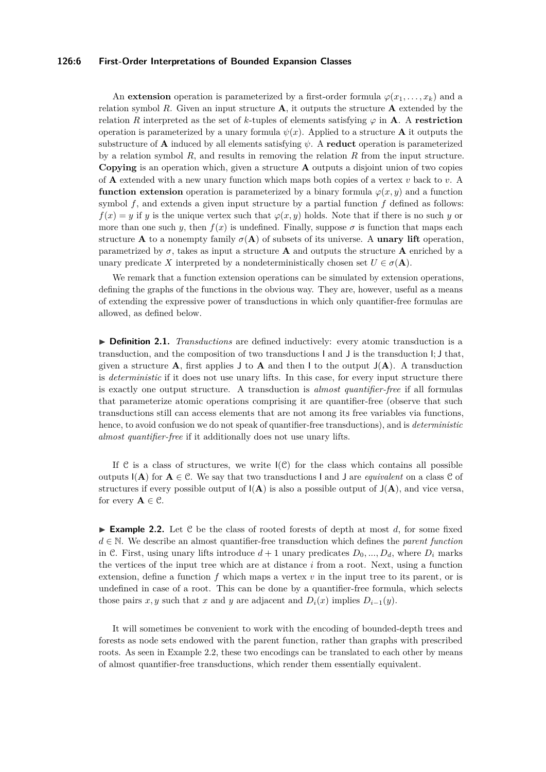#### **126:6 First-Order Interpretations of Bounded Expansion Classes**

An **extension** operation is parameterized by a first-order formula  $\varphi(x_1, \ldots, x_k)$  and a relation symbol *R*. Given an input structure **A**, it outputs the structure **A** extended by the relation *R* interpreted as the set of *k*-tuples of elements satisfying  $\varphi$  in **A**. A **restriction** operation is parameterized by a unary formula  $\psi(x)$ . Applied to a structure **A** it outputs the substructure of **A** induced by all elements satisfying  $\psi$ . A **reduct** operation is parameterized by a relation symbol *R*, and results in removing the relation *R* from the input structure. **Copying** is an operation which, given a structure **A** outputs a disjoint union of two copies of **A** extended with a new unary function which maps both copies of a vertex *v* back to *v*. A **function extension** operation is parameterized by a binary formula  $\varphi(x, y)$  and a function symbol *f*, and extends a given input structure by a partial function *f* defined as follows:  $f(x) = y$  if *y* is the unique vertex such that  $\varphi(x, y)$  holds. Note that if there is no such *y* or more than one such *y*, then  $f(x)$  is undefined. Finally, suppose  $\sigma$  is function that maps each structure **A** to a nonempty family  $\sigma(A)$  of subsets of its universe. A **unary lift** operation, parametrized by  $\sigma$ , takes as input a structure **A** and outputs the structure **A** enriched by a unary predicate *X* interpreted by a nondeterministically chosen set  $U \in \sigma(\mathbf{A})$ .

We remark that a function extension operations can be simulated by extension operations. defining the graphs of the functions in the obvious way. They are, however, useful as a means of extending the expressive power of transductions in which only quantifier-free formulas are allowed, as defined below.

**IDEFINITION 2.1.** *Transductions* are defined inductively: every atomic transduction is a transduction, and the composition of two transductions I and J is the transduction I; J that, given a structure  $\bf{A}$ , first applies  $\bf{J}$  to  $\bf{A}$  and then  $\bf{l}$  to the output  $\bf{J}(\bf{A})$ . A transduction is *deterministic* if it does not use unary lifts. In this case, for every input structure there is exactly one output structure. A transduction is *almost quantifier-free* if all formulas that parameterize atomic operations comprising it are quantifier-free (observe that such transductions still can access elements that are not among its free variables via functions, hence, to avoid confusion we do not speak of quantifier-free transductions), and is *deterministic almost quantifier-free* if it additionally does not use unary lifts.

If C is a class of structures, we write  $I(\mathcal{C})$  for the class which contains all possible outputs  $I(A)$  for  $A \in \mathcal{C}$ . We say that two transductions I and J are *equivalent* on a class  $\mathcal{C}$  of structures if every possible output of  $I(A)$  is also a possible output of  $J(A)$ , and vice versa, for every  $A \in \mathcal{C}$ .

<span id="page-5-0"></span>**Example 2.2.** Let C be the class of rooted forests of depth at most *d*, for some fixed *d* ∈ N. We describe an almost quantifier-free transduction which defines the *parent function* in C. First, using unary lifts introduce  $d+1$  unary predicates  $D_0, ..., D_d$ , where  $D_i$  marks the vertices of the input tree which are at distance *i* from a root. Next, using a function extension, define a function *f* which maps a vertex *v* in the input tree to its parent, or is undefined in case of a root. This can be done by a quantifier-free formula, which selects those pairs *x*, *y* such that *x* and *y* are adjacent and  $D_i(x)$  implies  $D_{i-1}(y)$ .

It will sometimes be convenient to work with the encoding of bounded-depth trees and forests as node sets endowed with the parent function, rather than graphs with prescribed roots. As seen in Example [2.2,](#page-5-0) these two encodings can be translated to each other by means of almost quantifier-free transductions, which render them essentially equivalent.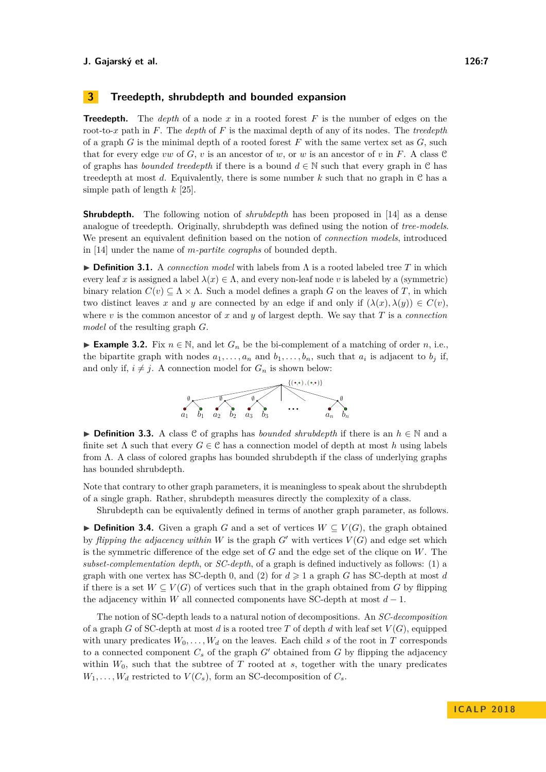## **3 Treedepth, shrubdepth and bounded expansion**

**Treedepth.** The *depth* of a node *x* in a rooted forest *F* is the number of edges on the root-to-*x* path in *F*. The *depth* of *F* is the maximal depth of any of its nodes. The *treedepth* of a graph *G* is the minimal depth of a rooted forest *F* with the same vertex set as *G*, such that for every edge *vw* of *G*, *v* is an ancestor of *w*, or *w* is an ancestor of *v* in *F*. A class  $\mathcal{C}$ of graphs has *bounded treedepth* if there is a bound  $d \in \mathbb{N}$  such that every graph in C has treedepth at most *d*. Equivalently, there is some number *k* such that no graph in C has a simple path of length *k* [\[25\]](#page-13-5).

**Shrubdepth.** The following notion of *shrubdepth* has been proposed in [\[14\]](#page-12-16) as a dense analogue of treedepth. Originally, shrubdepth was defined using the notion of *tree-models*. We present an equivalent definition based on the notion of *connection models*, introduced in [\[14\]](#page-12-16) under the name of *m-partite cographs* of bounded depth.

**► Definition 3.1.** A *connection model* with labels from Λ is a rooted labeled tree T in which every leaf *x* is assigned a label  $\lambda(x) \in \Lambda$ , and every non-leaf node *v* is labeled by a (symmetric) binary relation  $C(v) \subseteq \Lambda \times \Lambda$ . Such a model defines a graph *G* on the leaves of *T*, in which two distinct leaves *x* and *y* are connected by an edge if and only if  $(\lambda(x), \lambda(y)) \in C(v)$ , where *v* is the common ancestor of *x* and *y* of largest depth. We say that *T* is a *connection model* of the resulting graph *G*.

**► Example 3.2.** Fix  $n \in \mathbb{N}$ , and let  $G_n$  be the bi-complement of a matching of order *n*, i.e., the bipartite graph with nodes  $a_1, \ldots, a_n$  and  $b_1, \ldots, b_n$ , such that  $a_i$  is adjacent to  $b_j$  if, and only if,  $i \neq j$ . A connection model for  $G_n$  is shown below:



I **Definition 3.3.** A class C of graphs has *bounded shrubdepth* if there is an *h* ∈ N and a finite set  $\Lambda$  such that every  $G \in \mathcal{C}$  has a connection model of depth at most *h* using labels from Λ. A class of colored graphs has bounded shrubdepth if the class of underlying graphs has bounded shrubdepth.

Note that contrary to other graph parameters, it is meaningless to speak about the shrubdepth of a single graph. Rather, shrubdepth measures directly the complexity of a class.

Shrubdepth can be equivalently defined in terms of another graph parameter, as follows.

**► Definition 3.4.** Given a graph *G* and a set of vertices  $W \subseteq V(G)$ , the graph obtained by *flipping the adjacency within*  $W$  is the graph  $G'$  with vertices  $V(G)$  and edge set which is the symmetric difference of the edge set of *G* and the edge set of the clique on *W*. The *subset-complementation depth*, or *SC-depth*, of a graph is defined inductively as follows: (1) a graph with one vertex has SC-depth 0, and (2) for  $d \ge 1$  a graph *G* has SC-depth at most *d* if there is a set  $W \subseteq V(G)$  of vertices such that in the graph obtained from G by flipping the adjacency within *W* all connected components have SC-depth at most  $d-1$ .

The notion of SC-depth leads to a natural notion of decompositions. An *SC-decomposition* of a graph *G* of SC-depth at most *d* is a rooted tree *T* of depth *d* with leaf set  $V(G)$ , equipped with unary predicates  $W_0, \ldots, W_d$  on the leaves. Each child *s* of the root in *T* corresponds to a connected component  $C_s$  of the graph  $G'$  obtained from  $G$  by flipping the adjacency within  $W_0$ , such that the subtree of  $T$  rooted at  $s$ , together with the unary predicates  $W_1, \ldots, W_d$  restricted to  $V(C_s)$ , form an SC-decomposition of  $C_s$ .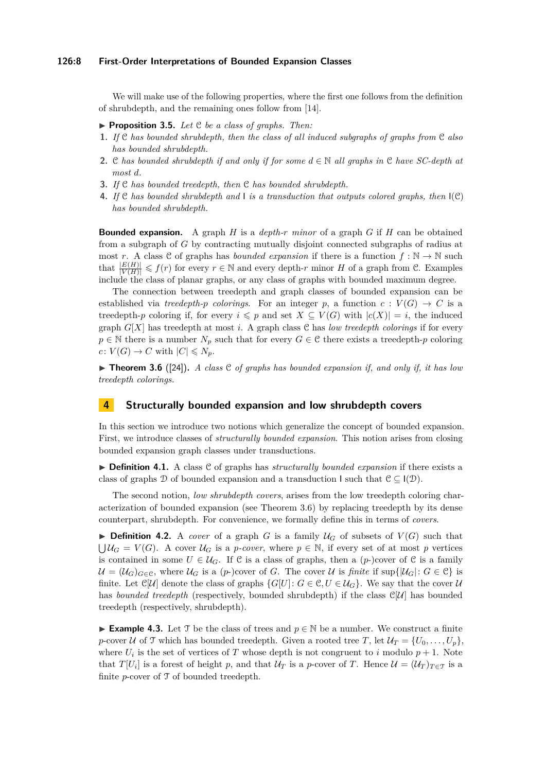#### **126:8 First-Order Interpretations of Bounded Expansion Classes**

We will make use of the following properties, where the first one follows from the definition of shrubdepth, and the remaining ones follow from [\[14\]](#page-12-16).

- <span id="page-7-1"></span>▶ **Proposition 3.5.** *Let*  $C$  *be a class of graphs. Then:*
- **1.** *If* C *has bounded shrubdepth, then the class of all induced subgraphs of graphs from* C *also has bounded shrubdepth.*
- **2.** C *has bounded shrubdepth if and only if for some d* ∈ N *all graphs in* C *have SC-depth at most d.*
- <span id="page-7-2"></span>**3.** *If* C *has bounded treedepth, then* C *has bounded shrubdepth.*
- **4.** *If* C *has bounded shrubdepth and* I *is a transduction that outputs colored graphs, then* I(C) *has bounded shrubdepth.*

**Bounded expansion.** A graph *H* is a *depth-r minor* of a graph *G* if *H* can be obtained from a subgraph of *G* by contracting mutually disjoint connected subgraphs of radius at most *r*. A class C of graphs has *bounded expansion* if there is a function  $f : \mathbb{N} \to \mathbb{N}$  such that  $\frac{|E(H)|}{|V(H)|} \leqslant f(r)$  for every  $r \in \mathbb{N}$  and every depth-*r* minor *H* of a graph from C. Examples include the class of planar graphs, or any class of graphs with bounded maximum degree.

The connection between treedepth and graph classes of bounded expansion can be established via *treedepth-p colorings*. For an integer p, a function  $c: V(G) \to C$  is a treedepth-*p* coloring if, for every  $i \leq p$  and set  $X \subseteq V(G)$  with  $|c(X)| = i$ , the induced graph  $G[X]$  has treedepth at most *i*. A graph class C has *low treedepth colorings* if for every  $p \in \mathbb{N}$  there is a number  $N_p$  such that for every  $G \in \mathcal{C}$  there exists a treedepth-*p* coloring  $c: V(G) \to C$  with  $|C| \leq N_p$ .

<span id="page-7-0"></span> $\triangleright$  **Theorem 3.6** ([\[24\]](#page-13-7)), A class C of graphs has bounded expansion if, and only if, it has low *treedepth colorings.*

## **4 Structurally bounded expansion and low shrubdepth covers**

In this section we introduce two notions which generalize the concept of bounded expansion. First, we introduce classes of *structurally bounded expansion*. This notion arises from closing bounded expansion graph classes under transductions.

▶ **Definition 4.1.** A class C of graphs has *structurally bounded expansion* if there exists a class of graphs D of bounded expansion and a transduction I such that  $\mathcal{C} \subset I(\mathcal{D})$ .

The second notion, *low shrubdepth covers*, arises from the low treedepth coloring characterization of bounded expansion (see Theorem [3.6\)](#page-7-0) by replacing treedepth by its dense counterpart, shrubdepth. For convenience, we formally define this in terms of *covers*.

**Definition 4.2.** A *cover* of a graph *G* is a family  $U_G$  of subsets of  $V(G)$  such that  $\bigcup \mathcal{U}_G = V(G)$ . A cover  $\mathcal{U}_G$  is a *p*-cover, where  $p \in \mathbb{N}$ , if every set of at most *p* vertices is contained in some  $U \in \mathcal{U}_G$ . If C is a class of graphs, then a  $(p-)$ cover of C is a family  $\mathcal{U} = (\mathcal{U}_G)_{G \in \mathcal{C}}$ , where  $\mathcal{U}_G$  is a (*p*-)cover of *G*. The cover  $\mathcal{U}$  is *finite* if sup $\{|\mathcal{U}_G|: G \in \mathcal{C}\}$  is finite. Let  $\mathbb{C}[U]$  denote the class of graphs  $\{G[U]: G \in \mathbb{C}, U \in \mathcal{U}_G\}$ . We say that the cover  $\mathcal{U}$ has *bounded treedepth* (respectively, bounded shrubdepth) if the class  $\mathbb{C}[U]$  has bounded treedepth (respectively, shrubdepth).

**Example 4.3.** Let T be the class of trees and  $p \in \mathbb{N}$  be a number. We construct a finite *p*-cover U of T which has bounded treedepth. Given a rooted tree T, let  $\mathcal{U}_T = \{U_0, \ldots, U_p\}$ , where  $U_i$  is the set of vertices of  $T$  whose depth is not congruent to  $i$  modulo  $p + 1$ . Note that  $T[U_i]$  is a forest of height *p*, and that  $U_T$  is a *p*-cover of *T*. Hence  $\mathcal{U} = (\mathcal{U}_T)_{T \in \mathcal{T}}$  is a finite *p*-cover of  $\mathcal T$  of bounded treedepth.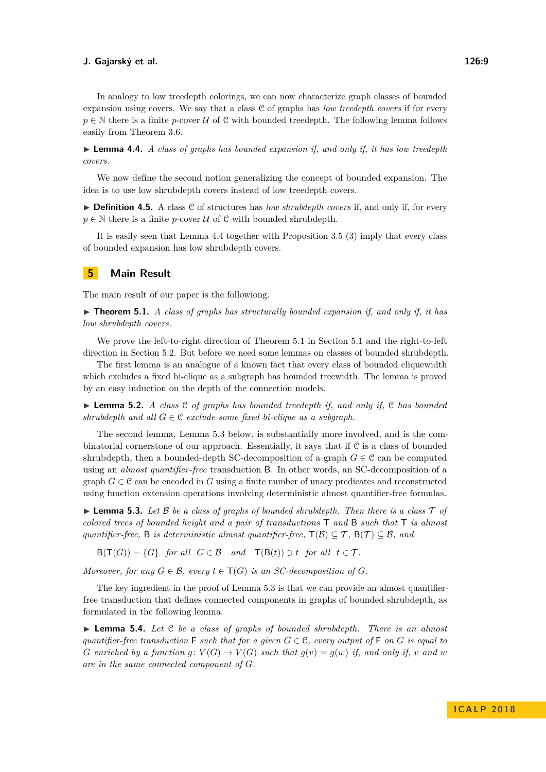<span id="page-8-1"></span>► **Lemma 4.4.** *A class of graphs has bounded expansion if, and only if, it has low treedepth covers.*

We now define the second notion generalizing the concept of bounded expansion. The idea is to use low shrubdepth covers instead of low treedepth covers.

▶ **Definition 4.5.** A class C of structures has *low shrubdepth covers* if, and only if, for every  $p \in \mathbb{N}$  there is a finite *p*-cover  $\mathcal U$  of  $\mathcal C$  with bounded shrubdepth.

It is easily seen that Lemma [4.4](#page-8-1) together with Proposition [3.5](#page-7-1) [\(3\)](#page-7-2) imply that every class of bounded expansion has low shrubdepth covers.

## **5 Main Result**

The main result of our paper is the followiong.

<span id="page-8-0"></span> $\triangleright$  **Theorem 5.1.** *A class of graphs has structurally bounded expansion if, and only if, it has low shrubdepth covers.*

We prove the left-to-right direction of Theorem [5.1](#page-8-0) in Section [5.1](#page-9-1) and the right-to-left direction in Section [5.2.](#page-10-1) But before we need some lemmas on classes of bounded shrubdepth.

The first lemma is an analogue of a known fact that every class of bounded cliquewidth which excludes a fixed bi-clique as a subgraph has bounded treewidth. The lemma is proved by an easy induction on the depth of the connection models.

<span id="page-8-4"></span> $\triangleright$  **Lemma 5.2.** *A class*  $\mathcal{C}$  *of graphs has bounded treedepth if, and only if,*  $\mathcal{C}$  *has bounded shrubdepth and all*  $G \in \mathcal{C}$  *exclude some fixed bi-clique as a subgraph.* 

The second lemma, Lemma [5.3](#page-8-2) below, is substantially more involved, and is the combinatorial cornerstone of our approach. Essentially, it says that if C is a class of bounded shrubdepth, then a bounded-depth SC-decomposition of a graph  $G \in \mathcal{C}$  can be computed using an *almost quantifier-free* transduction B. In other words, an SC-decomposition of a graph  $G \in \mathcal{C}$  can be encoded in G using a finite number of unary predicates and reconstructed using function extension operations involving deterministic almost quantifier-free formulas.

<span id="page-8-2"></span> $\triangleright$  **Lemma 5.3.** Let B be a class of graphs of bounded shrubdepth. Then there is a class  $\tau$  of *colored trees of bounded height and a pair of transductions* T *and* B *such that* T *is almost quantifier-free,* B *is deterministic almost quantifier-free,*  $T(\mathcal{B}) \subseteq \mathcal{T}$ ,  $B(\mathcal{T}) \subseteq \mathcal{B}$ *, and* 

 $B(T(G)) = {G}$  *for all*  $G \in \mathcal{B}$  *and*  $T(B(t)) \ni t$  *for all*  $t \in \mathcal{T}$ *.* 

*Moreover, for any*  $G \in \mathcal{B}$ *, every*  $t \in T(G)$  *is an SC-decomposition of*  $G$ *.* 

The key ingredient in the proof of Lemma [5.3](#page-8-2) is that we can provide an almost quantifierfree transduction that defines connected components in graphs of bounded shrubdepth, as formulated in the following lemma.

<span id="page-8-3"></span> $\triangleright$  **Lemma 5.4.** Let C be a class of graphs of bounded shrubdepth. There is an almost *quantifier-free transduction*  $\mathsf{F}$  *such that for a given*  $G \in \mathcal{C}$ *, every output of*  $\mathsf{F}$  *on*  $G$  *is equal to G* enriched by a function  $g: V(G) \to V(G)$  such that  $g(v) = g(w)$  if, and only if, v and w *are in the same connected component of G.*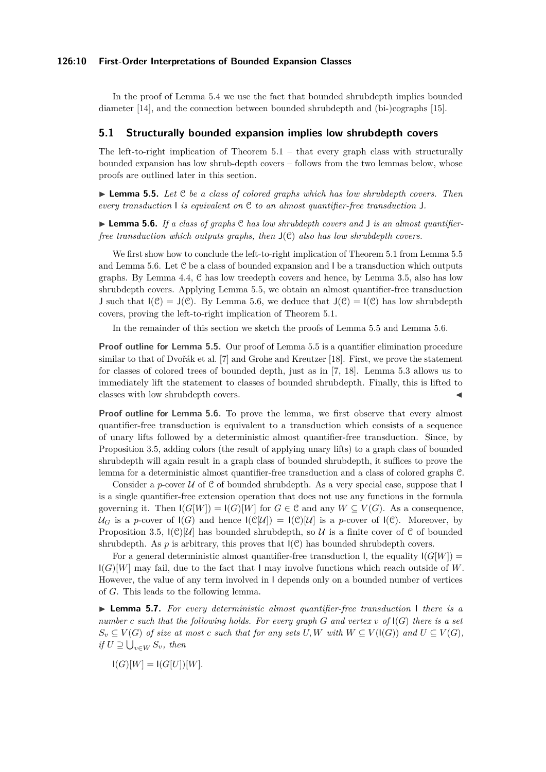#### **126:10 First-Order Interpretations of Bounded Expansion Classes**

In the proof of Lemma [5.4](#page-8-3) we use the fact that bounded shrubdepth implies bounded diameter [\[14\]](#page-12-16), and the connection between bounded shrubdepth and (bi-)cographs [\[15\]](#page-12-19).

#### <span id="page-9-1"></span>**5.1 Structurally bounded expansion implies low shrubdepth covers**

The left-to-right implication of Theorem  $5.1$  – that every graph class with structurally bounded expansion has low shrub-depth covers – follows from the two lemmas below, whose proofs are outlined later in this section.

<span id="page-9-0"></span>► **Lemma 5.5.** *Let* C *be a class of colored graphs which has low shrubdepth covers. Then every transduction* I *is equivalent on* C *to an almost quantifier-free transduction* J*.*

<span id="page-9-2"></span>▶ **Lemma 5.6.** *If a class of graphs*  $\mathcal{C}$  *has low shrubdepth covers and* **J** *is an almost quantifierfree transduction which outputs graphs, then* J(C) *also has low shrubdepth covers.*

We first show how to conclude the left-to-right implication of Theorem [5.1](#page-8-0) from Lemma [5.5](#page-9-0) and Lemma [5.6.](#page-9-2) Let C be a class of bounded expansion and I be a transduction which outputs graphs. By Lemma [4.4,](#page-8-1) C has low treedepth covers and hence, by Lemma [3.5,](#page-7-1) also has low shrubdepth covers. Applying Lemma [5.5,](#page-9-0) we obtain an almost quantifier-free transduction J such that  $I(\mathcal{C}) = J(\mathcal{C})$ . By Lemma [5.6,](#page-9-2) we deduce that  $J(\mathcal{C}) = I(\mathcal{C})$  has low shrubdepth covers, proving the left-to-right implication of Theorem [5.1.](#page-8-0)

In the remainder of this section we sketch the proofs of Lemma [5.5](#page-9-0) and Lemma [5.6.](#page-9-2)

**Proof outline for Lemma [5.5.](#page-9-0)** Our proof of Lemma [5.5](#page-9-0) is a quantifier elimination procedure similar to that of Dvořák et al. [\[7\]](#page-12-3) and Grohe and Kreutzer [\[18\]](#page-12-18). First, we prove the statement for classes of colored trees of bounded depth, just as in [\[7,](#page-12-3) [18\]](#page-12-18). Lemma [5.3](#page-8-2) allows us to immediately lift the statement to classes of bounded shrubdepth. Finally, this is lifted to classes with low shrubdepth covers.

**Proof outline for Lemma [5.6.](#page-9-2)** To prove the lemma, we first observe that every almost quantifier-free transduction is equivalent to a transduction which consists of a sequence of unary lifts followed by a deterministic almost quantifier-free transduction. Since, by Proposition [3.5,](#page-7-1) adding colors (the result of applying unary lifts) to a graph class of bounded shrubdepth will again result in a graph class of bounded shrubdepth, it suffices to prove the lemma for a deterministic almost quantifier-free transduction and a class of colored graphs C.

Consider a *p*-cover  $U$  of  $C$  of bounded shrubdepth. As a very special case, suppose that I is a single quantifier-free extension operation that does not use any functions in the formula governing it. Then  $I(G[W]) = I(G)[W]$  for  $G \in \mathcal{C}$  and any  $W \subseteq V(G)$ . As a consequence,  $U_G$  is a *p*-cover of  $I(G)$  and hence  $I(\mathcal{C}[U]) = I(\mathcal{C})[U]$  is a *p*-cover of  $I(\mathcal{C})$ . Moreover, by Proposition [3.5,](#page-7-1)  $I(\mathcal{C})[\mathcal{U}]$  has bounded shrubdepth, so U is a finite cover of  $\mathcal C$  of bounded shrubdepth. As  $p$  is arbitrary, this proves that  $I(\mathcal{C})$  has bounded shrubdepth covers.

For a general deterministic almost quantifier-free transduction I, the equality  $I(G[W])$  =  $I(G)[W]$  may fail, due to the fact that I may involve functions which reach outside of W. However, the value of any term involved in I depends only on a bounded number of vertices of *G*. This leads to the following lemma.

<span id="page-9-3"></span>I **Lemma 5.7.** *For every deterministic almost quantifier-free transduction* I *there is a number c such that the following holds. For every graph G and vertex v of* I(*G*) *there is a set*  $S_v \subseteq V(G)$  *of size at most c such that for any sets U, W with*  $W \subseteq V(\mathsf{I}(G))$  *and*  $U \subseteq V(G)$ *,*  $if U \supseteq \bigcup_{v \in W} S_v$ , then

$$
\mathsf{I}(G)[W] = \mathsf{I}(G[U])[W].
$$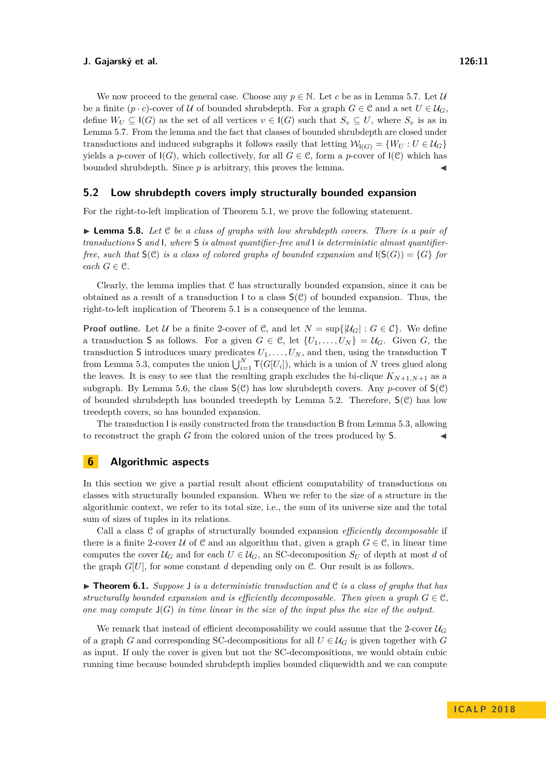We now proceed to the general case. Choose any  $p \in \mathbb{N}$ . Let *c* be as in Lemma [5.7.](#page-9-3) Let *U* be a finite (*p* · *c*)-cover of U of bounded shrubdepth. For a graph  $G \in \mathcal{C}$  and a set  $U \in \mathcal{U}_G$ , define  $W_U \subseteq \mathsf{I}(G)$  as the set of all vertices  $v \in \mathsf{I}(G)$  such that  $S_v \subseteq U$ , where  $S_v$  is as in Lemma [5.7.](#page-9-3) From the lemma and the fact that classes of bounded shrubdepth are closed under transductions and induced subgraphs it follows easily that letting  $\mathcal{W}_{I(G)} = \{W_U : U \in \mathcal{U}_G\}$ yields a *p*-cover of  $I(G)$ , which collectively, for all  $G \in \mathcal{C}$ , form a *p*-cover of  $I(\mathcal{C})$  which has bounded shrubdepth. Since  $p$  is arbitrary, this proves the lemma.

### <span id="page-10-1"></span>**5.2 Low shrubdepth covers imply structurally bounded expansion**

For the right-to-left implication of Theorem [5.1,](#page-8-0) we prove the following statement.

<span id="page-10-2"></span>► **Lemma 5.8.** *Let* C *be a class of graphs with low shrubdepth covers. There is a pair of transductions* S *and* I*, where* S *is almost quantifier-free and* I *is deterministic almost quantifierfree, such that*  $\mathsf{S}(\mathcal{C})$  *is a class of colored graphs of bounded expansion and*  $\mathsf{I}(\mathsf{S}(G)) = \{G\}$  *for each*  $G \in \mathcal{C}$ *.* 

Clearly, the lemma implies that C has structurally bounded expansion, since it can be obtained as a result of a transduction I to a class  $S(\mathcal{C})$  of bounded expansion. Thus, the right-to-left implication of Theorem [5.1](#page-8-0) is a consequence of the lemma.

**Proof outline.** Let U be a finite 2-cover of C, and let  $N = \sup\{|\mathcal{U}_G| : G \in \mathcal{C}\}\.$  We define a transduction S as follows. For a given  $G \in \mathcal{C}$ , let  $\{U_1, \ldots, U_N\} = \mathcal{U}_G$ . Given  $G$ , the transduction S introduces unary predicates  $U_1, \ldots, U_N$ , and then, using the transduction T from Lemma [5.3,](#page-8-2) computes the union  $\bigcup_{i=1}^{N} \mathsf{T}(G[U_i])$ , which is a union of *N* trees glued along the leaves. It is easy to see that the resulting graph excludes the bi-clique  $K_{N+1,N+1}$  as a subgraph. By Lemma [5.6,](#page-9-2) the class  $S(\mathcal{C})$  has low shrubdepth covers. Any *p*-cover of  $S(\mathcal{C})$ of bounded shrubdepth has bounded treedepth by Lemma [5.2.](#page-8-4) Therefore,  $S(\mathcal{C})$  has low treedepth covers, so has bounded expansion.

The transduction I is easily constructed from the transduction B from Lemma [5.3,](#page-8-2) allowing to reconstruct the graph  $G$  from the colored union of the trees produced by  $S$ .

## **6 Algorithmic aspects**

In this section we give a partial result about efficient computability of transductions on classes with structurally bounded expansion. When we refer to the size of a structure in the algorithmic context, we refer to its total size, i.e., the sum of its universe size and the total sum of sizes of tuples in its relations.

Call a class C of graphs of structurally bounded expansion *efficiently decomposable* if there is a finite 2-cover U of C and an algorithm that, given a graph  $G \in \mathcal{C}$ , in linear time computes the cover  $U_G$  and for each  $U \in \mathcal{U}_G$ , an SC-decomposition  $S_U$  of depth at most *d* of the graph  $G[U]$ , for some constant  $d$  depending only on  $\mathcal{C}$ . Our result is as follows.

<span id="page-10-0"></span> $\triangleright$  **Theorem 6.1.** *Suppose* J *is a deterministic transduction and* C *is a class of graphs that has structurally bounded expansion and is efficiently decomposable. Then given a graph*  $G \in \mathcal{C}$ , *one may compute* J(*G*) *in time linear in the size of the input plus the size of the output.*

We remark that instead of efficient decomposability we could assume that the 2-cover  $U_G$ of a graph *G* and corresponding SC-decompositions for all  $U \in \mathcal{U}_G$  is given together with *G* as input. If only the cover is given but not the SC-decompositions, we would obtain cubic running time because bounded shrubdepth implies bounded cliquewidth and we can compute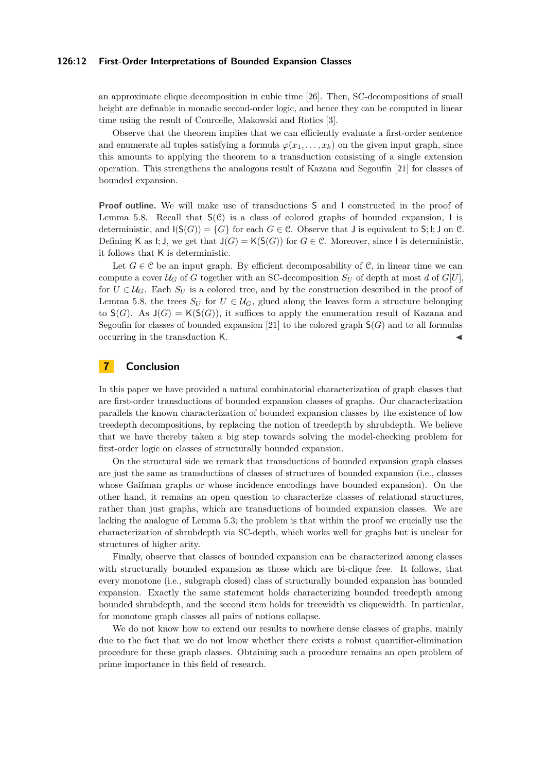#### **126:12 First-Order Interpretations of Bounded Expansion Classes**

an approximate clique decomposition in cubic time [\[26\]](#page-13-6). Then, SC-decompositions of small height are definable in monadic second-order logic, and hence they can be computed in linear time using the result of Courcelle, Makowski and Rotics [\[3\]](#page-12-14).

Observe that the theorem implies that we can efficiently evaluate a first-order sentence and enumerate all tuples satisfying a formula  $\varphi(x_1, \ldots, x_k)$  on the given input graph, since this amounts to applying the theorem to a transduction consisting of a single extension operation. This strengthens the analogous result of Kazana and Segoufin [\[21\]](#page-13-2) for classes of bounded expansion.

**Proof outline.** We will make use of transductions S and I constructed in the proof of Lemma [5.8.](#page-10-2) Recall that  $S(\mathcal{C})$  is a class of colored graphs of bounded expansion, I is deterministic, and  $I(S(G)) = \{G\}$  for each  $G \in \mathcal{C}$ . Observe that J is equivalent to  $S; I; J$  on  $\mathcal{C}$ . Defining K as I; J, we get that  $J(G) = K(S(G))$  for  $G \in \mathcal{C}$ . Moreover, since I is deterministic, it follows that K is deterministic.

Let  $G \in \mathcal{C}$  be an input graph. By efficient decomposability of  $\mathcal{C}$ , in linear time we can compute a cover  $\mathcal{U}_G$  of *G* together with an SC-decomposition  $S_U$  of depth at most *d* of  $G[U]$ , for  $U \in \mathcal{U}_G$ . Each  $S_U$  is a colored tree, and by the construction described in the proof of Lemma [5.8,](#page-10-2) the trees  $S_U$  for  $U \in \mathcal{U}_G$ , glued along the leaves form a structure belonging to  $S(G)$ . As  $J(G) = K(S(G))$ , it suffices to apply the enumeration result of Kazana and Segoufin for classes of bounded expansion [\[21\]](#page-13-2) to the colored graph  $\mathsf{S}(G)$  and to all formulas occurring in the transduction K. J

## **7 Conclusion**

In this paper we have provided a natural combinatorial characterization of graph classes that are first-order transductions of bounded expansion classes of graphs. Our characterization parallels the known characterization of bounded expansion classes by the existence of low treedepth decompositions, by replacing the notion of treedepth by shrubdepth. We believe that we have thereby taken a big step towards solving the model-checking problem for first-order logic on classes of structurally bounded expansion.

On the structural side we remark that transductions of bounded expansion graph classes are just the same as transductions of classes of structures of bounded expansion (i.e., classes whose Gaifman graphs or whose incidence encodings have bounded expansion). On the other hand, it remains an open question to characterize classes of relational structures, rather than just graphs, which are transductions of bounded expansion classes. We are lacking the analogue of Lemma [5.3;](#page-8-2) the problem is that within the proof we crucially use the characterization of shrubdepth via SC-depth, which works well for graphs but is unclear for structures of higher arity.

Finally, observe that classes of bounded expansion can be characterized among classes with structurally bounded expansion as those which are bi-clique free. It follows, that every monotone (i.e., subgraph closed) class of structurally bounded expansion has bounded expansion. Exactly the same statement holds characterizing bounded treedepth among bounded shrubdepth, and the second item holds for treewidth vs cliquewidth. In particular, for monotone graph classes all pairs of notions collapse.

We do not know how to extend our results to nowhere dense classes of graphs, mainly due to the fact that we do not know whether there exists a robust quantifier-elimination procedure for these graph classes. Obtaining such a procedure remains an open problem of prime importance in this field of research.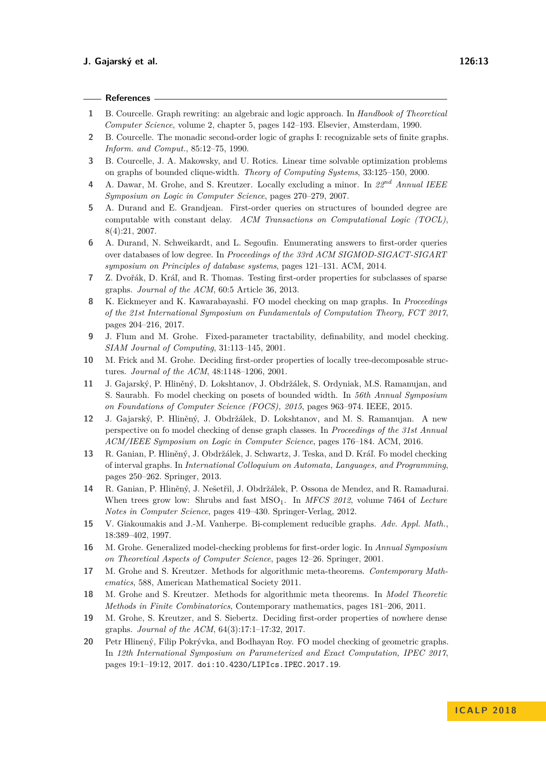#### **References**

- <span id="page-12-0"></span>**1** B. Courcelle. Graph rewriting: an algebraic and logic approach. In *Handbook of Theoretical Computer Science*, volume 2, chapter 5, pages 142–193. Elsevier, Amsterdam, 1990.
- <span id="page-12-1"></span>**2** B. Courcelle. The monadic second-order logic of graphs I: recognizable sets of finite graphs. *Inform. and Comput.*, 85:12–75, 1990.
- <span id="page-12-14"></span>**3** B. Courcelle, J. A. Makowsky, and U. Rotics. Linear time solvable optimization problems on graphs of bounded clique-width. *Theory of Computing Systems*, 33:125–150, 2000.
- <span id="page-12-5"></span>**4** A. Dawar, M. Grohe, and S. Kreutzer. Locally excluding a minor. In *22nd Annual IEEE Symposium on Logic in Computer Science*, pages 270–279, 2007.
- <span id="page-12-10"></span>**5** A. Durand and E. Grandjean. First-order queries on structures of bounded degree are computable with constant delay. *ACM Transactions on Computational Logic (TOCL)*, 8(4):21, 2007.
- <span id="page-12-11"></span>**6** A. Durand, N. Schweikardt, and L. Segoufin. Enumerating answers to first-order queries over databases of low degree. In *Proceedings of the 33rd ACM SIGMOD-SIGACT-SIGART symposium on Principles of database systems*, pages 121–131. ACM, 2014.
- <span id="page-12-3"></span>**7** Z. Dvořák, D. Kráľ, and R. Thomas. Testing first-order properties for subclasses of sparse graphs. *Journal of the ACM*, 60:5 Article 36, 2013.
- <span id="page-12-8"></span>**8** K. Eickmeyer and K. Kawarabayashi. FO model checking on map graphs. In *Proceedings of the 21st International Symposium on Fundamentals of Computation Theory, FCT 2017*, pages 204–216, 2017.
- <span id="page-12-6"></span>**9** J. Flum and M. Grohe. Fixed-parameter tractability, definability, and model checking. *SIAM Journal of Computing*, 31:113–145, 2001.
- <span id="page-12-7"></span>**10** M. Frick and M. Grohe. Deciding first-order properties of locally tree-decomposable structures. *Journal of the ACM*, 48:1148–1206, 2001.
- <span id="page-12-15"></span>**11** J. Gajarský, P. Hliněný, D. Lokshtanov, J. Obdržálek, S. Ordyniak, M.S. Ramanujan, and S. Saurabh. Fo model checking on posets of bounded width. In *56th Annual Symposium on Foundations of Computer Science (FOCS), 2015*, pages 963–974. IEEE, 2015.
- <span id="page-12-17"></span>**12** J. Gajarský, P. Hliněný, J. Obdržálek, D. Lokshtanov, and M. S. Ramanujan. A new perspective on fo model checking of dense graph classes. In *Proceedings of the 31st Annual ACM/IEEE Symposium on Logic in Computer Science*, pages 176–184. ACM, 2016.
- <span id="page-12-12"></span>**13** R. Ganian, P. Hliněný, J. Obdržálek, J. Schwartz, J. Teska, and D. Kráľ. Fo model checking of interval graphs. In *International Colloquium on Automata, Languages, and Programming*, pages 250–262. Springer, 2013.
- <span id="page-12-16"></span>**14** R. Ganian, P. Hliněný, J. Nešetřil, J. Obdržálek, P. Ossona de Mendez, and R. Ramadurai. When trees grow low: Shrubs and fast MSO<sub>1</sub>. In *MFCS 2012*, volume 7464 of *Lecture Notes in Computer Science*, pages 419–430. Springer-Verlag, 2012.
- <span id="page-12-19"></span>**15** V. Giakoumakis and J.-M. Vanherpe. Bi-complement reducible graphs. *Adv. Appl. Math.*, 18:389–402, 1997.
- <span id="page-12-9"></span>**16** M. Grohe. Generalized model-checking problems for first-order logic. In *Annual Symposium on Theoretical Aspects of Computer Science*, pages 12–26. Springer, 2001.
- <span id="page-12-2"></span>**17** M. Grohe and S. Kreutzer. Methods for algorithmic meta-theorems. *Contemporary Mathematics*, 588, American Mathematical Society 2011.
- <span id="page-12-18"></span>**18** M. Grohe and S. Kreutzer. Methods for algorithmic meta theorems. In *Model Theoretic Methods in Finite Combinatorics*, Contemporary mathematics, pages 181–206, 2011.
- <span id="page-12-4"></span>**19** M. Grohe, S. Kreutzer, and S. Siebertz. Deciding first-order properties of nowhere dense graphs. *Journal of the ACM*, 64(3):17:1–17:32, 2017.
- <span id="page-12-13"></span>**20** Petr Hlinený, Filip Pokrývka, and Bodhayan Roy. FO model checking of geometric graphs. In *12th International Symposium on Parameterized and Exact Computation, IPEC 2017*, pages 19:1–19:12, 2017. [doi:10.4230/LIPIcs.IPEC.2017.19](http://dx.doi.org/10.4230/LIPIcs.IPEC.2017.19).